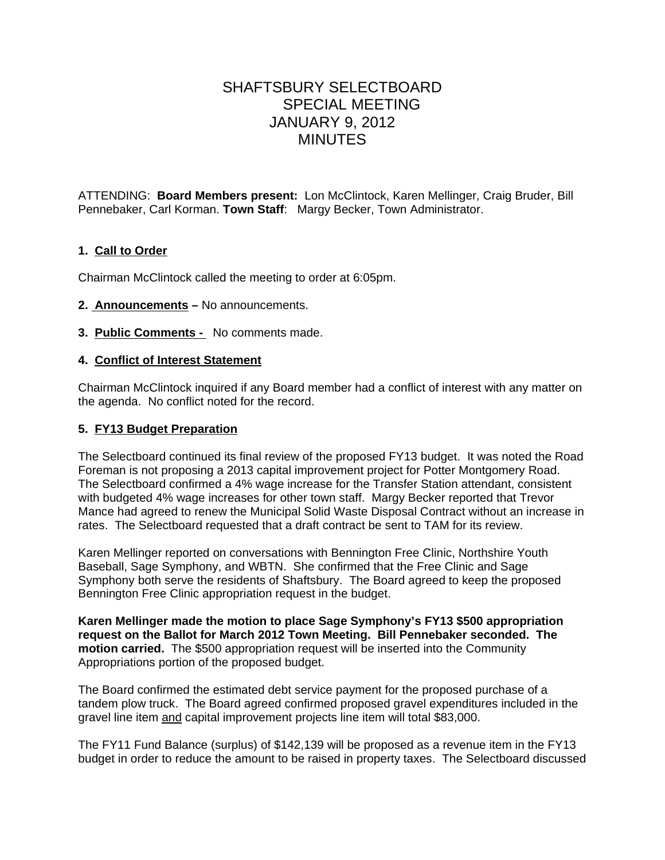# SHAFTSBURY SELECTBOARD SPECIAL MEETING JANUARY 9, 2012 MINUTES

ATTENDING: **Board Members present:** Lon McClintock, Karen Mellinger, Craig Bruder, Bill Pennebaker, Carl Korman. **Town Staff**: Margy Becker, Town Administrator.

## **1. Call to Order**

Chairman McClintock called the meeting to order at 6:05pm.

- **2. Announcements** No announcements.
- **3. Public Comments** No comments made.

### **4. Conflict of Interest Statement**

Chairman McClintock inquired if any Board member had a conflict of interest with any matter on the agenda. No conflict noted for the record.

#### **5. FY13 Budget Preparation**

The Selectboard continued its final review of the proposed FY13 budget. It was noted the Road Foreman is not proposing a 2013 capital improvement project for Potter Montgomery Road. The Selectboard confirmed a 4% wage increase for the Transfer Station attendant, consistent with budgeted 4% wage increases for other town staff. Margy Becker reported that Trevor Mance had agreed to renew the Municipal Solid Waste Disposal Contract without an increase in rates. The Selectboard requested that a draft contract be sent to TAM for its review.

Karen Mellinger reported on conversations with Bennington Free Clinic, Northshire Youth Baseball, Sage Symphony, and WBTN. She confirmed that the Free Clinic and Sage Symphony both serve the residents of Shaftsbury. The Board agreed to keep the proposed Bennington Free Clinic appropriation request in the budget.

**Karen Mellinger made the motion to place Sage Symphony's FY13 \$500 appropriation request on the Ballot for March 2012 Town Meeting. Bill Pennebaker seconded. The motion carried.** The \$500 appropriation request will be inserted into the Community Appropriations portion of the proposed budget.

The Board confirmed the estimated debt service payment for the proposed purchase of a tandem plow truck. The Board agreed confirmed proposed gravel expenditures included in the gravel line item and capital improvement projects line item will total \$83,000.

The FY11 Fund Balance (surplus) of \$142,139 will be proposed as a revenue item in the FY13 budget in order to reduce the amount to be raised in property taxes. The Selectboard discussed